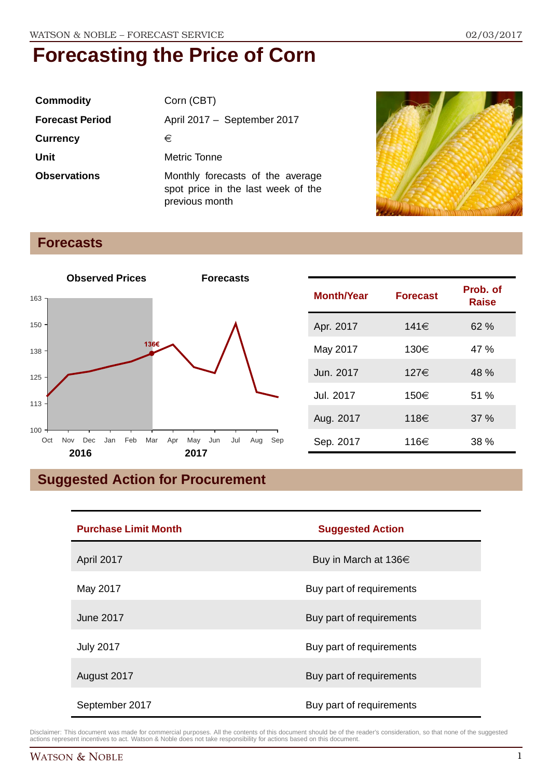| <b>Commodity</b>       | Corn (CBT)                                                                               |
|------------------------|------------------------------------------------------------------------------------------|
| <b>Forecast Period</b> | April 2017 - September 2017                                                              |
| <b>Currency</b>        | €                                                                                        |
| Unit                   | Metric Tonne                                                                             |
| <b>Observations</b>    | Monthly forecasts of the average<br>spot price in the last week of the<br>previous month |



### **Forecasts**



| <b>Month/Year</b> | <b>Forecast</b> | Prob. of<br><b>Raise</b> |
|-------------------|-----------------|--------------------------|
| Apr. 2017         | 141€            | 62%                      |
| May 2017          | 130€            | 47 %                     |
| Jun. 2017         | 127€            | 48 %                     |
| Jul. 2017         | 150€            | 51%                      |
| Aug. 2017         | 118€            | 37%                      |
| Sep. 2017         | 116€            | 38 %                     |

### **Suggested Action for Procurement**

| <b>Purchase Limit Month</b> | <b>Suggested Action</b>  |  |
|-----------------------------|--------------------------|--|
| April 2017                  | Buy in March at 136€     |  |
| May 2017                    | Buy part of requirements |  |
| <b>June 2017</b>            | Buy part of requirements |  |
| <b>July 2017</b>            | Buy part of requirements |  |
| August 2017                 | Buy part of requirements |  |
| September 2017              | Buy part of requirements |  |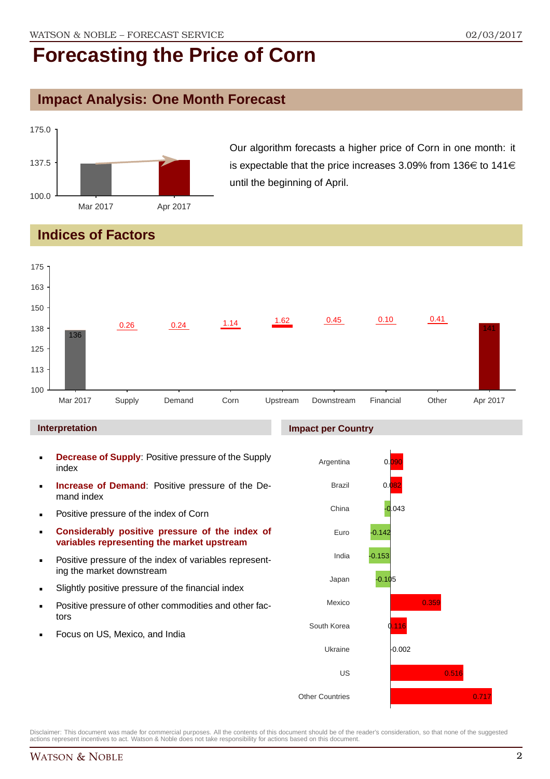### **Impact Analysis: One Month Forecast**



Our algorithm forecasts a higher price of Corn in one month: it is expectable that the price increases 3.09% from 136 $\in$  to 141 $\in$ until the beginning of April.

### **Indices of Factors**



Disclaimer: This document was made for commercial purposes. All the contents of this document should be of the reader's consideration, so that none of the suggested actions represent incentives to act. Watson & Noble does not take responsibility for actions based on this document.

Other Countries

0.717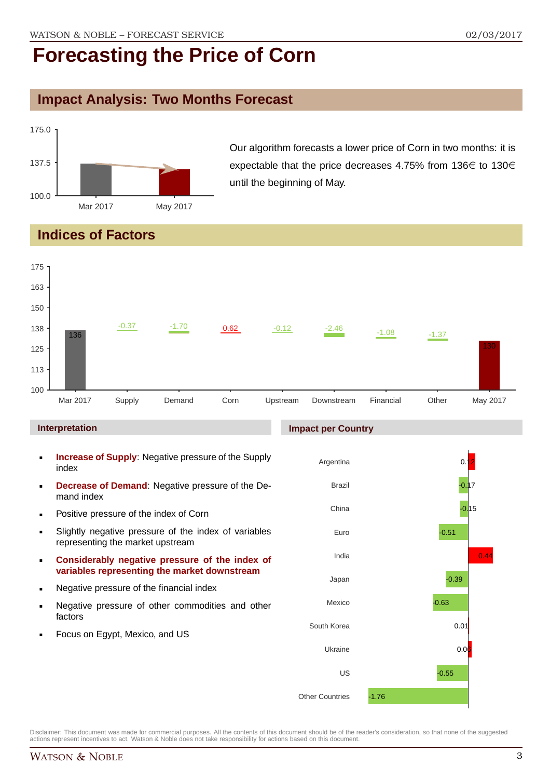### **Impact Analysis: Two Months Forecast**



Our algorithm forecasts a lower price of Corn in two months: it is expectable that the price decreases 4.75% from 136 $\in$  to 130 $\in$ until the beginning of May.

### **Indices of Factors**

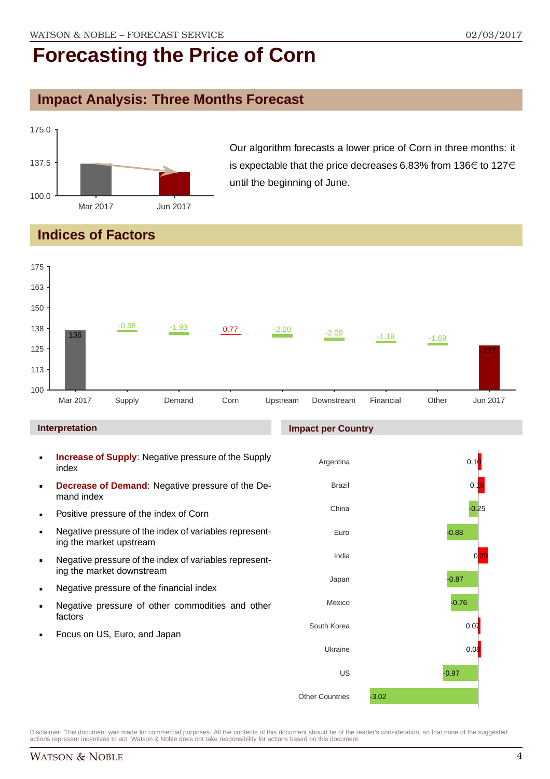### **Impact Analysis: Three Months Forecast**



Our algorithm forecasts a lower price of Corn in three months: it is expectable that the price decreases 6.83% from 136 $\in$  to 127 $\in$ until the beginning of June.

### **Indices of Factors**



Focus on US, Euro, and Japan

Disclaimer: This document was made for commercial purposes. All the contents of this document should be of the reader's consideration, so that none of the suggested actions represent incentives to act. Watson & Noble does not take responsibility for actions based on this document.

Ukraine

Other Countries

US

-3.02

 $0.08$ 

-0.97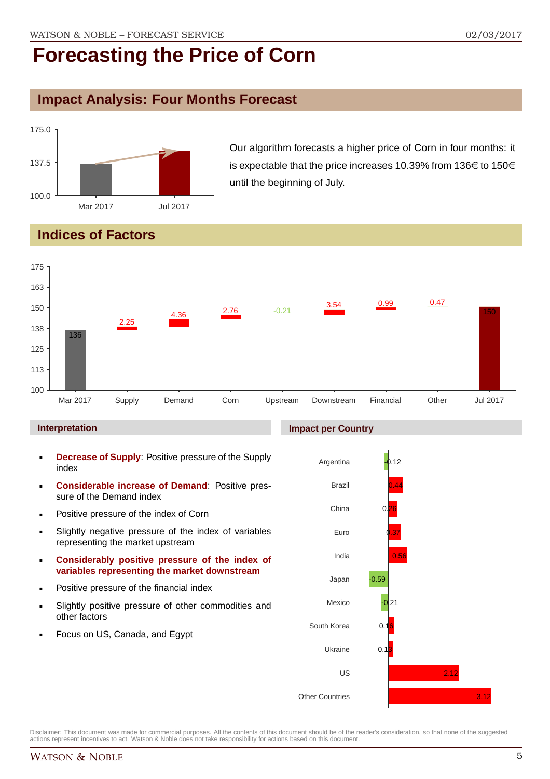### **Impact Analysis: Four Months Forecast**



Our algorithm forecasts a higher price of Corn in four months: it is expectable that the price increases 10.39% from 136 $\in$  to 150 $\in$ until the beginning of July.

### **Indices of Factors**



#### **Interpretation**

- **Decrease of Supply**: Positive pressure of the Supply index
- **Considerable increase of Demand**: Positive pressure of the Demand index
- **Positive pressure of the index of Corn**
- Slightly negative pressure of the index of variables representing the market upstream
- **Considerably positive pressure of the index of variables representing the market downstream**
- **•** Positive pressure of the financial index
- Slightly positive pressure of other commodities and other factors
- Focus on US, Canada, and Egypt

#### **Impact per Country**

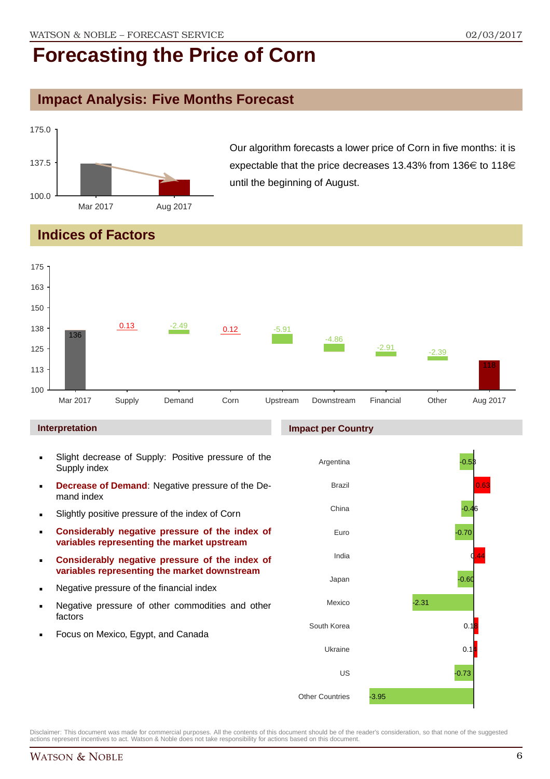### **Impact Analysis: Five Months Forecast**



Our algorithm forecasts a lower price of Corn in five months: it is expectable that the price decreases 13.43% from 136 $\in$  to 118 $\in$ until the beginning of August.

### **Indices of Factors**



#### **Interpretation**

- Slight decrease of Supply: Positive pressure of the Supply index
- **Decrease of Demand: Negative pressure of the De**mand index
- **Slightly positive pressure of the index of Corn**
- **Considerably negative pressure of the index of variables representing the market upstream**
- **Considerably negative pressure of the index of variables representing the market downstream**
- **Negative pressure of the financial index**
- **Negative pressure of other commodities and other** factors
- **Focus on Mexico, Egypt, and Canada**

#### **Impact per Country**

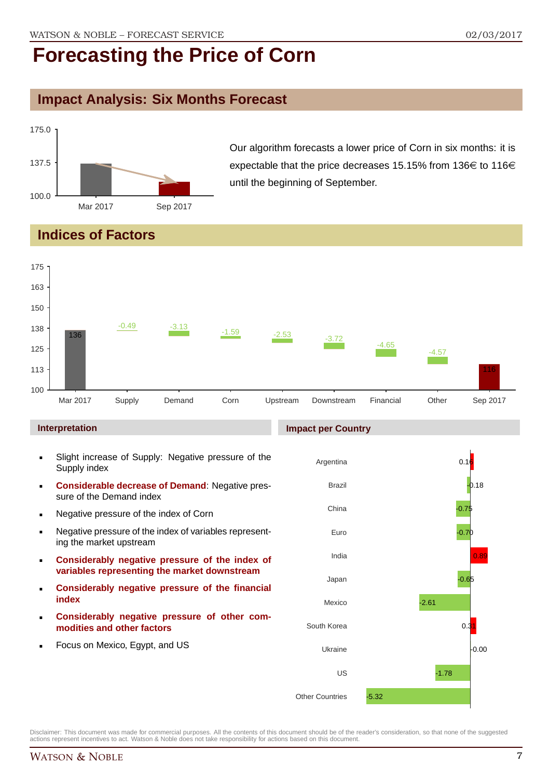### **Impact Analysis: Six Months Forecast**



Our algorithm forecasts a lower price of Corn in six months: it is expectable that the price decreases 15.15% from 136 $\in$  to 116 $\in$ until the beginning of September.

### **Indices of Factors**



#### **Interpretation**

- Slight increase of Supply: Negative pressure of the Supply index
- **Considerable decrease of Demand**: Negative pressure of the Demand index
- **Negative pressure of the index of Corn**
- Negative pressure of the index of variables representing the market upstream
- **Considerably negative pressure of the index of variables representing the market downstream**
- **Considerably negative pressure of the financial index**
- **Considerably negative pressure of other commodities and other factors**
- Focus on Mexico, Egypt, and US

#### **Impact per Country**

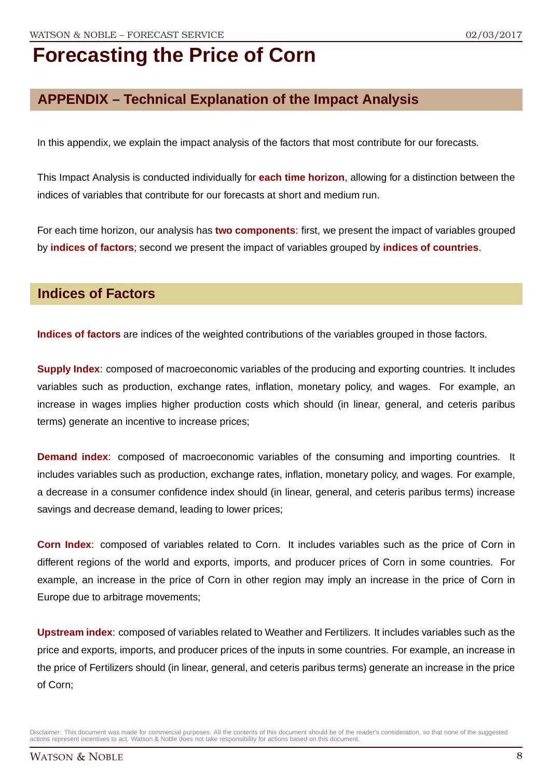### **APPENDIX – Technical Explanation of the Impact Analysis**

In this appendix, we explain the impact analysis of the factors that most contribute for our forecasts.

This Impact Analysis is conducted individually for **each time horizon**, allowing for a distinction between the indices of variables that contribute for our forecasts at short and medium run.

For each time horizon, our analysis has **two components**: first, we present the impact of variables grouped by **indices of factors**; second we present the impact of variables grouped by **indices of countries**.

#### **Indices of Factors**

**Indices of factors** are indices of the weighted contributions of the variables grouped in those factors.

**Supply Index**: composed of macroeconomic variables of the producing and exporting countries. It includes variables such as production, exchange rates, inflation, monetary policy, and wages. For example, an increase in wages implies higher production costs which should (in linear, general, and ceteris paribus terms) generate an incentive to increase prices;

**Demand index**: composed of macroeconomic variables of the consuming and importing countries. It includes variables such as production, exchange rates, inflation, monetary policy, and wages. For example, a decrease in a consumer confidence index should (in linear, general, and ceteris paribus terms) increase savings and decrease demand, leading to lower prices;

**Corn Index**: composed of variables related to Corn. It includes variables such as the price of Corn in different regions of the world and exports, imports, and producer prices of Corn in some countries. For example, an increase in the price of Corn in other region may imply an increase in the price of Corn in Europe due to arbitrage movements;

**Upstream index**: composed of variables related to Weather and Fertilizers. It includes variables such as the price and exports, imports, and producer prices of the inputs in some countries. For example, an increase in the price of Fertilizers should (in linear, general, and ceteris paribus terms) generate an increase in the price of Corn;